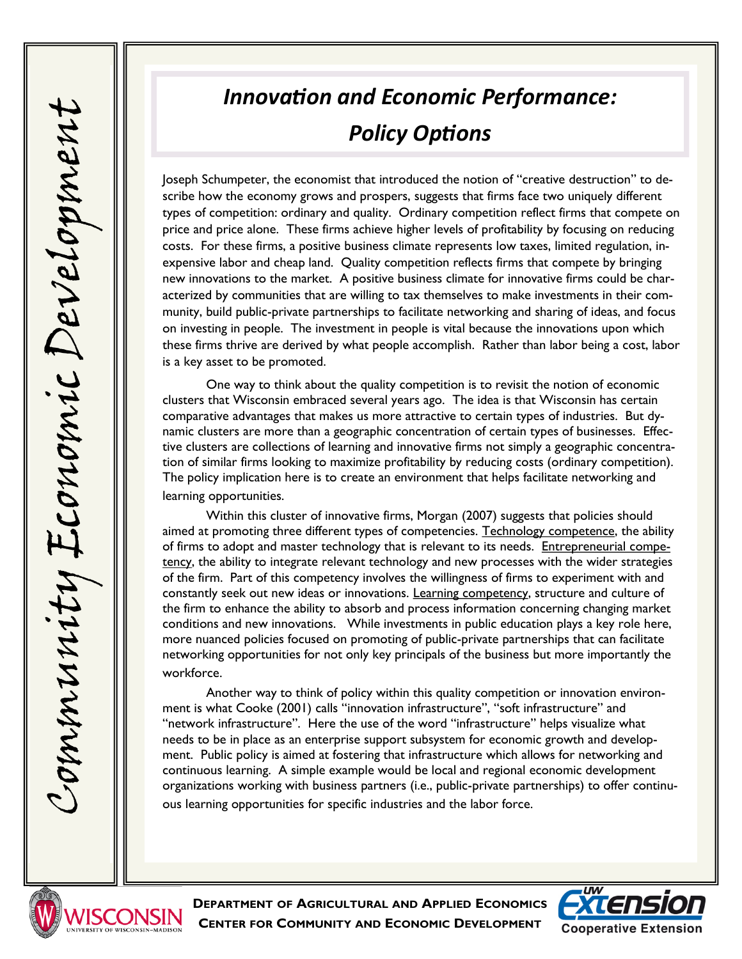## *Innovation and Economic Performance: Policy Options*

Joseph Schumpeter, the economist that introduced the notion of "creative destruction" to describe how the economy grows and prospers, suggests that firms face two uniquely different types of competition: ordinary and quality. Ordinary competition reflect firms that compete on price and price alone. These firms achieve higher levels of profitability by focusing on reducing costs. For these firms, a positive business climate represents low taxes, limited regulation, inexpensive labor and cheap land. Quality competition reflects firms that compete by bringing new innovations to the market. A positive business climate for innovative firms could be characterized by communities that are willing to tax themselves to make investments in their community, build public-private partnerships to facilitate networking and sharing of ideas, and focus on investing in people. The investment in people is vital because the innovations upon which these firms thrive are derived by what people accomplish. Rather than labor being a cost, labor is a key asset to be promoted.

One way to think about the quality competition is to revisit the notion of economic clusters that Wisconsin embraced several years ago. The idea is that Wisconsin has certain comparative advantages that makes us more attractive to certain types of industries. But dynamic clusters are more than a geographic concentration of certain types of businesses. Effective clusters are collections of learning and innovative firms not simply a geographic concentration of similar firms looking to maximize profitability by reducing costs (ordinary competition). The policy implication here is to create an environment that helps facilitate networking and learning opportunities.

Within this cluster of innovative firms, Morgan (2007) suggests that policies should aimed at promoting three different types of competencies. Technology competence, the ability of firms to adopt and master technology that is relevant to its needs. Entrepreneurial competency, the ability to integrate relevant technology and new processes with the wider strategies of the firm. Part of this competency involves the willingness of firms to experiment with and constantly seek out new ideas or innovations. Learning competency, structure and culture of the firm to enhance the ability to absorb and process information concerning changing market conditions and new innovations. While investments in public education plays a key role here, more nuanced policies focused on promoting of public-private partnerships that can facilitate networking opportunities for not only key principals of the business but more importantly the workforce.

Another way to think of policy within this quality competition or innovation environment is what Cooke (2001) calls "innovation infrastructure", "soft infrastructure" and "network infrastructure". Here the use of the word "infrastructure" helps visualize what needs to be in place as an enterprise support subsystem for economic growth and development. Public policy is aimed at fostering that infrastructure which allows for networking and continuous learning. A simple example would be local and regional economic development organizations working with business partners (i.e., public-private partnerships) to offer continuous learning opportunities for specific industries and the labor force.



**DEPARTMENT OF AGRICULTURAL AND APPLIED ECONOMICS CENTER FOR COMMUNITY AND ECONOMIC DEVELOPMENT**